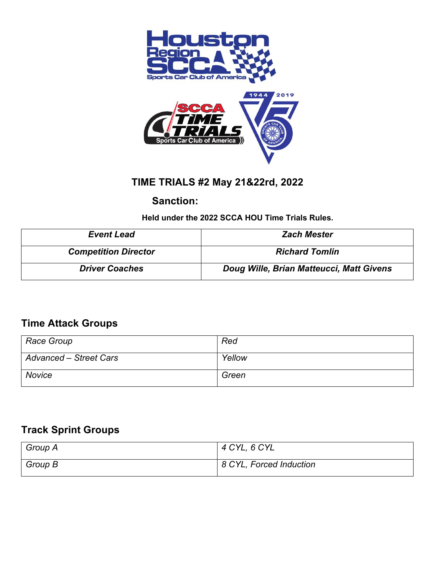



# **TIME TRIALS #2 May 21&22rd, 2022**

### **Sanction:**

 **Held under the 2022 SCCA HOU Time Trials Rules.**

| <b>Event Lead</b>           | <b>Zach Mester</b>                       |  |  |  |
|-----------------------------|------------------------------------------|--|--|--|
| <b>Competition Director</b> | <b>Richard Tomlin</b>                    |  |  |  |
| <b>Driver Coaches</b>       | Doug Wille, Brian Matteucci, Matt Givens |  |  |  |

### **Time Attack Groups**

| Race Group                    | Red    |
|-------------------------------|--------|
| <b>Advanced - Street Cars</b> | Yellow |
| Novice                        | Green  |

## **Track Sprint Groups**

| Group A | $4$ CYL, 6 CYL          |
|---------|-------------------------|
| Group B | 8 CYL, Forced Induction |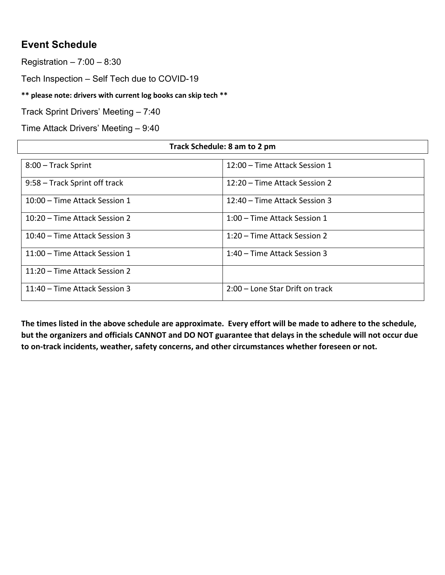## **Event Schedule**

Registration – 7:00 – 8:30

Tech Inspection – Self Tech due to COVID-19

**\*\* please note: drivers with current log books can skip tech \*\***

Track Sprint Drivers' Meeting – 7:40

Time Attack Drivers' Meeting – 9:40

| Track Schedule: 8 am to 2 pm  |                                 |  |  |  |
|-------------------------------|---------------------------------|--|--|--|
| 8:00 - Track Sprint           | 12:00 - Time Attack Session 1   |  |  |  |
| 9:58 – Track Sprint off track | 12:20 – Time Attack Session 2   |  |  |  |
| 10:00 – Time Attack Session 1 | 12:40 – Time Attack Session 3   |  |  |  |
| 10:20 – Time Attack Session 2 | 1:00 – Time Attack Session 1    |  |  |  |
| 10:40 – Time Attack Session 3 | 1:20 – Time Attack Session 2    |  |  |  |
| 11:00 – Time Attack Session 1 | 1:40 – Time Attack Session 3    |  |  |  |
| 11:20 – Time Attack Session 2 |                                 |  |  |  |
| 11:40 – Time Attack Session 3 | 2:00 – Lone Star Drift on track |  |  |  |

**The times listed in the above schedule are approximate. Every effort will be made to adhere to the schedule, but the organizers and officials CANNOT and DO NOT guarantee that delays in the schedule will not occur due to on-track incidents, weather, safety concerns, and other circumstances whether foreseen or not.**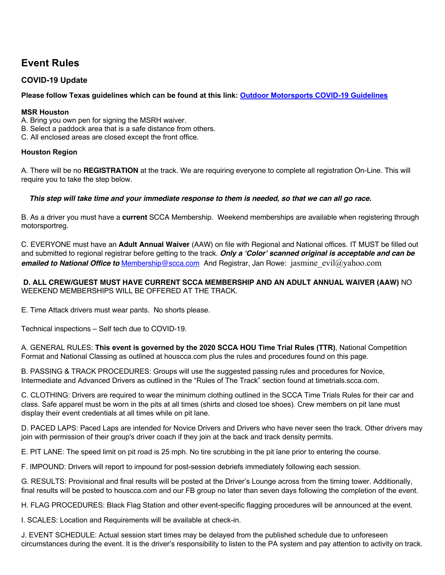## **Event Rules**

### **COVID-19 Update**

**Please follow Texas guidelines which can be found at this link: Outdoor Motorsports COVID-19 Guidelines**

#### **MSR Houston**

A. Bring you own pen for signing the MSRH waiver.

- B. Select a paddock area that is a safe distance from others.
- C. All enclosed areas are closed except the front office.

#### **Houston Region**

A. There will be no **REGISTRATION** at the track. We are requiring everyone to complete all registration On-Line. This will require you to take the step below.

#### *This step will take time and your immediate response to them is needed, so that we can all go race.*

B. As a driver you must have a **current** SCCA Membership. Weekend memberships are available when registering through motorsportreg.

C. EVERYONE must have an **Adult Annual Waiver** (AAW) on file with Regional and National offices. IT MUST be filled out and submitted to regional registrar before getting to the track. *Only a 'Color' scanned original is acceptable and can be emailed to National Office to Membership@scca.com* **And Registrar, Jan Rowe: jasmine evil@yahoo.com** 

#### **D. ALL CREW/GUEST MUST HAVE CURRENT SCCA MEMBERSHIP AND AN ADULT ANNUAL WAIVER (AAW)** NO WEEKEND MEMBERSHIPS WILL BE OFFERED AT THE TRACK.

E. Time Attack drivers must wear pants. No shorts please.

Technical inspections – Self tech due to COVID-19.

A. GENERAL RULES: **This event is governed by the 2020 SCCA HOU Time Trial Rules (TTR)**, National Competition Format and National Classing as outlined at houscca.com plus the rules and procedures found on this page.

B. PASSING & TRACK PROCEDURES: Groups will use the suggested passing rules and procedures for Novice, Intermediate and Advanced Drivers as outlined in the "Rules of The Track" section found at timetrials.scca.com.

C. CLOTHING: Drivers are required to wear the minimum clothing outlined in the SCCA Time Trials Rules for their car and class. Safe apparel must be worn in the pits at all times (shirts and closed toe shoes). Crew members on pit lane must display their event credentials at all times while on pit lane.

D. PACED LAPS: Paced Laps are intended for Novice Drivers and Drivers who have never seen the track. Other drivers may join with permission of their group's driver coach if they join at the back and track density permits.

E. PIT LANE: The speed limit on pit road is 25 mph. No tire scrubbing in the pit lane prior to entering the course.

F. IMPOUND: Drivers will report to impound for post-session debriefs immediately following each session.

G. RESULTS: Provisional and final results will be posted at the Driver's Lounge across from the timing tower. Additionally, final results will be posted to houscca.com and our FB group no later than seven days following the completion of the event.

H. FLAG PROCEDURES: Black Flag Station and other event-specific flagging procedures will be announced at the event.

I. SCALES: Location and Requirements will be available at check-in.

J. EVENT SCHEDULE: Actual session start times may be delayed from the published schedule due to unforeseen circumstances during the event. It is the driver's responsibility to listen to the PA system and pay attention to activity on track.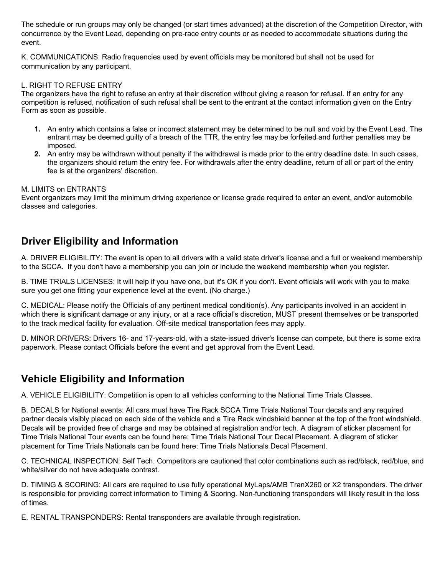The schedule or run groups may only be changed (or start times advanced) at the discretion of the Competition Director, with concurrence by the Event Lead, depending on pre-race entry counts or as needed to accommodate situations during the event.

K. COMMUNICATIONS: Radio frequencies used by event officials may be monitored but shall not be used for communication by any participant.

#### L. RIGHT TO REFUSE ENTRY

The organizers have the right to refuse an entry at their discretion without giving a reason for refusal. If an entry for any competition is refused, notification of such refusal shall be sent to the entrant at the contact information given on the Entry Form as soon as possible.

- **1.** An entry which contains a false or incorrect statement may be determined to be null and void by the Event Lead. The entrant may be deemed guilty of a breach of the TTR, the entry fee may be forfeited and further penalties may be imposed.
- **2.** An entry may be withdrawn without penalty if the withdrawal is made prior to the entry deadline date. In such cases, the organizers should return the entry fee. For withdrawals after the entry deadline, return of all or part of the entry fee is at the organizers' discretion.

#### M. LIMITS on ENTRANTS

Event organizers may limit the minimum driving experience or license grade required to enter an event, and/or automobile classes and categories.

### **Driver Eligibility and Information**

A. DRIVER ELIGIBILITY: The event is open to all drivers with a valid state driver's license and a full or weekend membership to the SCCA. If you don't have a membership you can join or include the weekend membership when you register.

B. TIME TRIALS LICENSES: It will help if you have one, but it's OK if you don't. Event officials will work with you to make sure you get one fitting your experience level at the event. (No charge.)

C. MEDICAL: Please notify the Officials of any pertinent medical condition(s). Any participants involved in an accident in which there is significant damage or any injury, or at a race official's discretion, MUST present themselves or be transported to the track medical facility for evaluation. Off-site medical transportation fees may apply.

D. MINOR DRIVERS: Drivers 16- and 17-years-old, with a state-issued driver's license can compete, but there is some extra paperwork. Please contact Officials before the event and get approval from the Event Lead.

### **Vehicle Eligibility and Information**

A. VEHICLE ELIGIBILITY: Competition is open to all vehicles conforming to the National Time Trials Classes.

B. DECALS for National events: All cars must have Tire Rack SCCA Time Trials National Tour decals and any required partner decals visibly placed on each side of the vehicle and a Tire Rack windshield banner at the top of the front windshield. Decals will be provided free of charge and may be obtained at registration and/or tech. A diagram of sticker placement for Time Trials National Tour events can be found here: Time Trials National Tour Decal Placement. A diagram of sticker placement for Time Trials Nationals can be found here: Time Trials Nationals Decal Placement.

C. TECHNICAL INSPECTION: Self Tech. Competitors are cautioned that color combinations such as red/black, red/blue, and white/silver do not have adequate contrast.

D. TIMING & SCORING: All cars are required to use fully operational MyLaps/AMB TranX260 or X2 transponders. The driver is responsible for providing correct information to Timing & Scoring. Non-functioning transponders will likely result in the loss of times.

E. RENTAL TRANSPONDERS: Rental transponders are available through registration.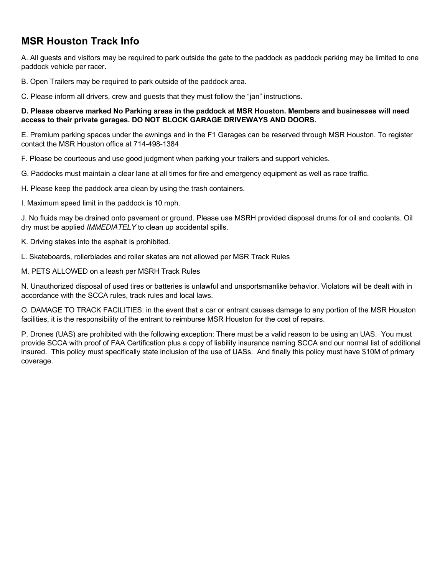## **MSR Houston Track Info**

A. All guests and visitors may be required to park outside the gate to the paddock as paddock parking may be limited to one paddock vehicle per racer.

B. Open Trailers may be required to park outside of the paddock area.

C. Please inform all drivers, crew and guests that they must follow the "jan" instructions.

#### **D. Please observe marked No Parking areas in the paddock at MSR Houston. Members and businesses will need access to their private garages. DO NOT BLOCK GARAGE DRIVEWAYS AND DOORS.**

E. Premium parking spaces under the awnings and in the F1 Garages can be reserved through MSR Houston. To register contact the MSR Houston office at 714-498-1384

F. Please be courteous and use good judgment when parking your trailers and support vehicles.

G. Paddocks must maintain a clear lane at all times for fire and emergency equipment as well as race traffic.

H. Please keep the paddock area clean by using the trash containers.

I. Maximum speed limit in the paddock is 10 mph.

J. No fluids may be drained onto pavement or ground. Please use MSRH provided disposal drums for oil and coolants. Oil dry must be applied *IMMEDIATELY* to clean up accidental spills.

K. Driving stakes into the asphalt is prohibited.

L. Skateboards, rollerblades and roller skates are not allowed per MSR Track Rules

M. PETS ALLOWED on a leash per MSRH Track Rules

N. Unauthorized disposal of used tires or batteries is unlawful and unsportsmanlike behavior. Violators will be dealt with in accordance with the SCCA rules, track rules and local laws.

O. DAMAGE TO TRACK FACILITIES: in the event that a car or entrant causes damage to any portion of the MSR Houston facilities, it is the responsibility of the entrant to reimburse MSR Houston for the cost of repairs.

P. Drones (UAS) are prohibited with the following exception: There must be a valid reason to be using an UAS. You must provide SCCA with proof of FAA Certification plus a copy of liability insurance naming SCCA and our normal list of additional insured. This policy must specifically state inclusion of the use of UASs. And finally this policy must have \$10M of primary coverage.